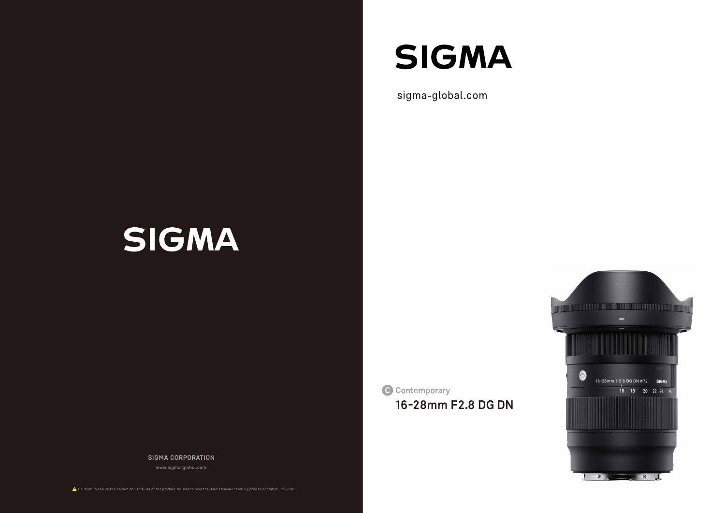# **SIGMA**

sigma-global.com

# SIGMA

C Contemporary

**SIGMA CORPORATION**

www.sigma-global.com

Caution: To ensure the correct and safe use of the product, be sure to read the User's Manual carefully prior to operation. 2022.06



**16-28mm F2.8 DG DN**